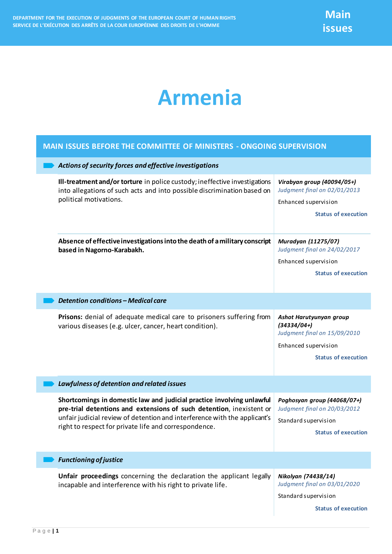## **Armenia**

## **MAIN ISSUES BEFORE THE COMMITTEE OF MINISTERS - ONGOING SUPERVISION**

| Actions of security forces and effective investigations |                                                                                                                                                                                                                                                                                     |                                                                                                  |  |
|---------------------------------------------------------|-------------------------------------------------------------------------------------------------------------------------------------------------------------------------------------------------------------------------------------------------------------------------------------|--------------------------------------------------------------------------------------------------|--|
|                                                         | Ill-treatment and/or torture in police custody; ineffective investigations<br>into allegations of such acts and into possible discrimination based on<br>political motivations.                                                                                                     | Virabyan group (40094/05+)<br>Judgment final on 02/01/2013                                       |  |
|                                                         |                                                                                                                                                                                                                                                                                     | Enhanced supervision                                                                             |  |
|                                                         |                                                                                                                                                                                                                                                                                     | <b>Status of execution</b>                                                                       |  |
|                                                         | Absence of effective investigations into the death of a military conscript<br>based in Nagorno-Karabakh.                                                                                                                                                                            | Muradyan (11275/07)<br>Judgment final on 24/02/2017                                              |  |
|                                                         |                                                                                                                                                                                                                                                                                     | Enhanced supervision                                                                             |  |
|                                                         |                                                                                                                                                                                                                                                                                     | <b>Status of execution</b>                                                                       |  |
|                                                         | <b>Detention conditions - Medical care</b>                                                                                                                                                                                                                                          |                                                                                                  |  |
|                                                         | Prisons: denial of adequate medical care to prisoners suffering from<br>various diseases (e.g. ulcer, cancer, heart condition).                                                                                                                                                     | Ashot Harutyunyan group<br>$(34334/04+)$<br>Judgment final on 15/09/2010<br>Enhanced supervision |  |
|                                                         |                                                                                                                                                                                                                                                                                     | <b>Status of execution</b>                                                                       |  |
|                                                         | Lawfulness of detention and related issues                                                                                                                                                                                                                                          |                                                                                                  |  |
|                                                         | Shortcomings in domestic law and judicial practice involving unlawful<br>pre-trial detentions and extensions of such detention, inexistent or<br>unfair judicial review of detention and interference with the applicant's<br>right to respect for private life and correspondence. | Poghosyan group (44068/07+)<br>Judgment final on 20/03/2012                                      |  |
|                                                         |                                                                                                                                                                                                                                                                                     | Standard supervision                                                                             |  |
|                                                         |                                                                                                                                                                                                                                                                                     | <b>Status of execution</b>                                                                       |  |
|                                                         | <b>Functioning of justice</b>                                                                                                                                                                                                                                                       |                                                                                                  |  |
|                                                         | Unfair proceedings concerning the declaration the applicant legally<br>incapable and interference with his right to private life.                                                                                                                                                   | Nikolyan (74438/14)<br>Judgment final on 03/01/2020<br>Standard supervision                      |  |
|                                                         |                                                                                                                                                                                                                                                                                     | <b>Status of execution</b>                                                                       |  |